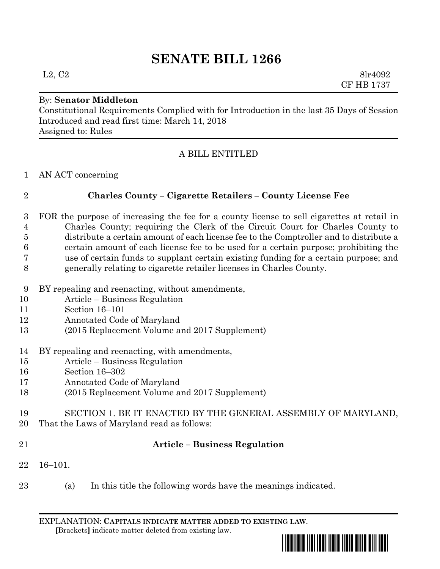# **SENATE BILL 1266**

By: **Senator Middleton**

Constitutional Requirements Complied with for Introduction in the last 35 Days of Session Introduced and read first time: March 14, 2018 Assigned to: Rules

### A BILL ENTITLED

AN ACT concerning

# **Charles County – Cigarette Retailers – County License Fee**

- FOR the purpose of increasing the fee for a county license to sell cigarettes at retail in Charles County; requiring the Clerk of the Circuit Court for Charles County to distribute a certain amount of each license fee to the Comptroller and to distribute a certain amount of each license fee to be used for a certain purpose; prohibiting the use of certain funds to supplant certain existing funding for a certain purpose; and generally relating to cigarette retailer licenses in Charles County.
- BY repealing and reenacting, without amendments,
- Article Business Regulation
- Section 16–101
- Annotated Code of Maryland
- (2015 Replacement Volume and 2017 Supplement)
- BY repealing and reenacting, with amendments,
- Article Business Regulation
- Section 16–302
- Annotated Code of Maryland
- (2015 Replacement Volume and 2017 Supplement)
- SECTION 1. BE IT ENACTED BY THE GENERAL ASSEMBLY OF MARYLAND,
- That the Laws of Maryland read as follows:
- 

# **Article – Business Regulation**

- 16–101.
- (a) In this title the following words have the meanings indicated.

EXPLANATION: **CAPITALS INDICATE MATTER ADDED TO EXISTING LAW**.  **[**Brackets**]** indicate matter deleted from existing law.



 $L2, C2$  8lr4092 CF HB 1737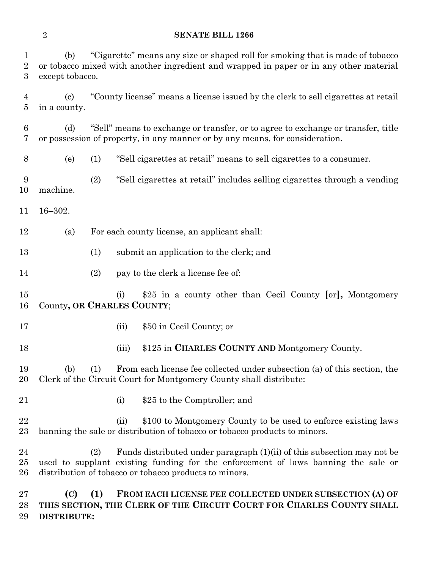#### **SENATE BILL 1266**

 (b) "Cigarette" means any size or shaped roll for smoking that is made of tobacco or tobacco mixed with another ingredient and wrapped in paper or in any other material except tobacco. (c) "County license" means a license issued by the clerk to sell cigarettes at retail in a county. (d) "Sell" means to exchange or transfer, or to agree to exchange or transfer, title or possession of property, in any manner or by any means, for consideration. (e) (1) "Sell cigarettes at retail" means to sell cigarettes to a consumer. (2) "Sell cigarettes at retail" includes selling cigarettes through a vending machine. 16–302. (a) For each county license, an applicant shall: (1) submit an application to the clerk; and (2) pay to the clerk a license fee of: (i) \$25 in a county other than Cecil County **[**or**],** Montgomery County**, OR CHARLES COUNTY**; 17 (ii) \$50 in Cecil County; or (iii) \$125 in **CHARLES COUNTY AND** Montgomery County. (b) (1) From each license fee collected under subsection (a) of this section, the Clerk of the Circuit Court for Montgomery County shall distribute: 21 (i) \$25 to the Comptroller; and 22 (ii) \$100 to Montgomery County to be used to enforce existing laws banning the sale or distribution of tobacco or tobacco products to minors. (2) Funds distributed under paragraph (1)(ii) of this subsection may not be used to supplant existing funding for the enforcement of laws banning the sale or distribution of tobacco or tobacco products to minors.

 **(C) (1) FROM EACH LICENSE FEE COLLECTED UNDER SUBSECTION (A) OF THIS SECTION, THE CLERK OF THE CIRCUIT COURT FOR CHARLES COUNTY SHALL DISTRIBUTE:**